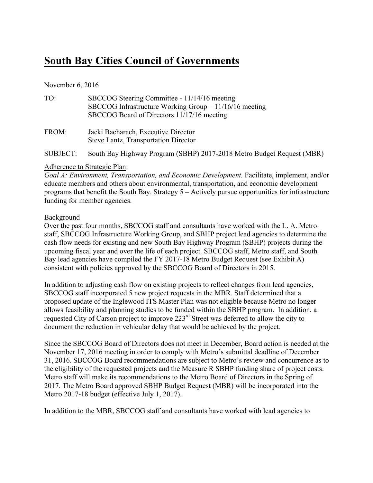### **South Bay Cities Council of Governments**

#### November 6, 2016

| TO:      | SBCCOG Steering Committee - 11/14/16 meeting<br>SBCCOG Infrastructure Working Group $-11/16/16$ meeting<br>SBCCOG Board of Directors 11/17/16 meeting |
|----------|-------------------------------------------------------------------------------------------------------------------------------------------------------|
| FROM:    | Jacki Bacharach, Executive Director<br>Steve Lantz, Transportation Director                                                                           |
| SUBJECT: | South Bay Highway Program (SBHP) 2017-2018 Metro Budget Request (MBR)                                                                                 |

#### Adherence to Strategic Plan:

*Goal A: Environment, Transportation, and Economic Development.* Facilitate, implement, and/or educate members and others about environmental, transportation, and economic development programs that benefit the South Bay. Strategy 5 – Actively pursue opportunities for infrastructure funding for member agencies.

#### Background

Over the past four months, SBCCOG staff and consultants have worked with the L. A. Metro staff, SBCCOG Infrastructure Working Group, and SBHP project lead agencies to determine the cash flow needs for existing and new South Bay Highway Program (SBHP) projects during the upcoming fiscal year and over the life of each project. SBCCOG staff, Metro staff, and South Bay lead agencies have compiled the FY 2017-18 Metro Budget Request (see Exhibit A) consistent with policies approved by the SBCCOG Board of Directors in 2015.

In addition to adjusting cash flow on existing projects to reflect changes from lead agencies, SBCCOG staff incorporated 5 new project requests in the MBR. Staff determined that a proposed update of the Inglewood ITS Master Plan was not eligible because Metro no longer allows feasibility and planning studies to be funded within the SBHP program. In addition, a requested City of Carson project to improve 223<sup>rd</sup> Street was deferred to allow the city to document the reduction in vehicular delay that would be achieved by the project.

Since the SBCCOG Board of Directors does not meet in December, Board action is needed at the November 17, 2016 meeting in order to comply with Metro's submittal deadline of December 31, 2016. SBCCOG Board recommendations are subject to Metro's review and concurrence as to the eligibility of the requested projects and the Measure R SBHP funding share of project costs. Metro staff will make its recommendations to the Metro Board of Directors in the Spring of 2017. The Metro Board approved SBHP Budget Request (MBR) will be incorporated into the Metro 2017-18 budget (effective July 1, 2017).

In addition to the MBR, SBCCOG staff and consultants have worked with lead agencies to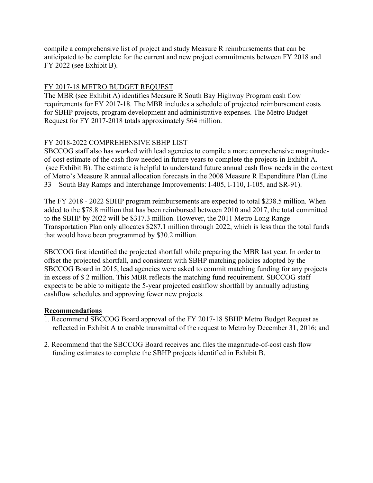compile a comprehensive list of project and study Measure R reimbursements that can be anticipated to be complete for the current and new project commitments between FY 2018 and FY 2022 (see Exhibit B).

#### FY 2017-18 METRO BUDGET REQUEST

The MBR (see Exhibit A) identifies Measure R South Bay Highway Program cash flow requirements for FY 2017-18. The MBR includes a schedule of projected reimbursement costs for SBHP projects, program development and administrative expenses. The Metro Budget Request for FY 2017-2018 totals approximately \$64 million.

#### FY 2018-2022 COMPREHENSIVE SBHP LIST

SBCCOG staff also has worked with lead agencies to compile a more comprehensive magnitudeof-cost estimate of the cash flow needed in future years to complete the projects in Exhibit A. (see Exhibit B). The estimate is helpful to understand future annual cash flow needs in the context of Metro's Measure R annual allocation forecasts in the 2008 Measure R Expenditure Plan (Line 33 – South Bay Ramps and Interchange Improvements: I-405, I-110, I-105, and SR-91).

The FY 2018 - 2022 SBHP program reimbursements are expected to total \$238.5 million. When added to the \$78.8 million that has been reimbursed between 2010 and 2017, the total committed to the SBHP by 2022 will be \$317.3 million. However, the 2011 Metro Long Range Transportation Plan only allocates \$287.1 million through 2022, which is less than the total funds that would have been programmed by \$30.2 million.

SBCCOG first identified the projected shortfall while preparing the MBR last year. In order to offset the projected shortfall, and consistent with SBHP matching policies adopted by the SBCCOG Board in 2015, lead agencies were asked to commit matching funding for any projects in excess of \$ 2 million. This MBR reflects the matching fund requirement. SBCCOG staff expects to be able to mitigate the 5-year projected cashflow shortfall by annually adjusting cashflow schedules and approving fewer new projects.

#### **Recommendations**

- 1. Recommend SBCCOG Board approval of the FY 2017-18 SBHP Metro Budget Request as reflected in Exhibit A to enable transmittal of the request to Metro by December 31, 2016; and
- 2. Recommend that the SBCCOG Board receives and files the magnitude-of-cost cash flow funding estimates to complete the SBHP projects identified in Exhibit B.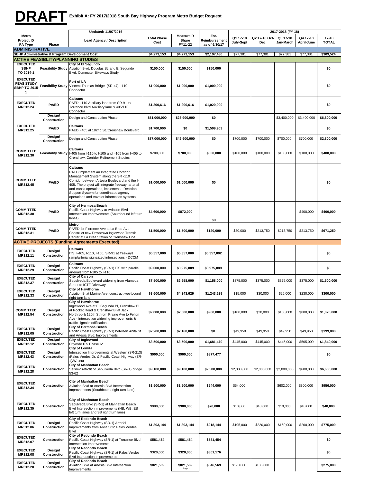## **DRAFT**

|                                                                  |                                                | Updated: 11/07/2016                                                                                                                                                                                                                                                                                                                            |                    |                           |                       |             |               |             |             |              |
|------------------------------------------------------------------|------------------------------------------------|------------------------------------------------------------------------------------------------------------------------------------------------------------------------------------------------------------------------------------------------------------------------------------------------------------------------------------------------|--------------------|---------------------------|-----------------------|-------------|---------------|-------------|-------------|--------------|
| Metro<br>Project ID                                              |                                                | <b>Lead Agency / Description</b>                                                                                                                                                                                                                                                                                                               | <b>Total Phase</b> | <b>Measure R</b><br>Share | Est.<br>Reimbursement | Q1 17-18    | Q2 17-18 Oct- | Q3 17-18    | Q4 17-18    | $17 - 18$    |
| FA Type                                                          | Phase                                          |                                                                                                                                                                                                                                                                                                                                                | Cost               | FY11-22                   | as of 6/30/17         | July-Sept   | Dec           | Jan-March   | April-June  | <b>TOTAL</b> |
| <b>ADMINISTRATIVE</b>                                            | SBHP Administrative & Program Development Cost |                                                                                                                                                                                                                                                                                                                                                | \$4,273,153        | \$4,273,153               | \$2,197,430           | \$77,381    | \$77,381      | \$77,381    | \$77,381    | \$309,524    |
|                                                                  | <b>ACTIVE FEASIBLITY/PLANNING STUDIES</b>      |                                                                                                                                                                                                                                                                                                                                                |                    |                           |                       |             |               |             |             |              |
| <b>EXECUTED</b><br><b>SBHP</b><br>TO 2014-1                      | <b>Feasibility Study</b>                       | City of El Segundo<br>Aviation Blvd, Douglas St. and El Segundo<br>Blvd. Commuter Bikeways Study                                                                                                                                                                                                                                               | \$150,000          | \$150,000                 | \$150,000             |             |               |             |             | \$0          |
| <b>EXECUTED</b><br><b>FEAS STUDY</b><br><b>SBHP TO 2015</b><br>1 | <b>Feasibility Study</b>                       | Port of LA<br>Vincent Thomas Bridge (SR-47) I-110<br>Connector                                                                                                                                                                                                                                                                                 | \$1,000,000        | \$1,000,000               | \$1,000,000           |             |               |             |             | \$0          |
| <b>EXECUTED</b><br>MR312.24                                      | <b>PA/ED</b>                                   | <b>Caltrans</b><br>PAED I-110 Auxiliary lane from SR-91 to<br>Torrance Blvd Auxiliary lane & 405/110<br>Connector                                                                                                                                                                                                                              | \$1,200,616        | \$1,200,616               | \$1,020,000           |             |               |             |             | \$0          |
|                                                                  | Design/<br>Construction                        | Design and Construction Phase                                                                                                                                                                                                                                                                                                                  | \$51,000,000       | \$28,900,000              | \$0                   |             |               | \$3,400,000 | \$3,400,000 | \$6,800,000  |
| <b>EXECUTED</b><br>MR312.25                                      | <b>PA/ED</b>                                   | <b>Caltrans</b><br>PAED I-405 at 182nd St./Crenshaw Boulevard                                                                                                                                                                                                                                                                                  | \$1,700,000<br>\$0 |                           | \$1,599,903           |             |               |             |             | \$0          |
|                                                                  | Design/<br>Construction                        | Design and Construction Phase                                                                                                                                                                                                                                                                                                                  | \$87,000,000       | \$46,900,000              | \$0                   | \$700,000   | \$700,000     | \$700,000   | \$700,000   | \$2,800,000  |
| <b>COMMITTED</b><br>MR312.30                                     | <b>Feasibility Study</b>                       | <b>Caltrans</b><br>I-405 from I-110 to I-105 and I-105 from I-405 to<br>Crenshaw: Corridor Refinement Studies                                                                                                                                                                                                                                  |                    | \$700.000                 | \$300,000             | \$100,000   | \$100,000     | \$100,000   | \$100,000   | \$400,000    |
| <b>COMMITTED</b><br>MR312.45                                     | <b>PA/ED</b>                                   | <b>Caltrans</b><br>PAED/Implement an Integrated Corridor<br>Management System along the SR -110<br>Corridor between Artesia Boulevard and the I-<br>405. The project will integrate freeway, arterial<br>and transit operations, implement a Decision<br>Support System for coordinated agency<br>operations and traveler information systems. | \$1,000,000        | \$1,000,000               | \$0                   |             |               |             |             | \$0          |
| <b>COMMITTED</b><br>MR312.38                                     | <b>PA/ED</b>                                   | City of Hermosa Beach<br>Pacific Coast Highway at Aviation Blvd<br>Intersection Improvements (Southbound left turn<br>lanes)                                                                                                                                                                                                                   | \$4,600,000        | \$872,000                 | \$0                   |             |               |             | \$400,000   | \$400,000    |
| <b>COMMITTED</b><br>MR312.31                                     | <b>PA/ED</b>                                   | Metro<br>PA/ED for Florence Ave at La Brea Ave -<br>Construct new Downtown Inglewood Transit<br>Center at La Brea Station of Crenshaw Line                                                                                                                                                                                                     |                    | \$1,500,000               | \$120,000             | \$30,000    | \$213,750     | \$213,750   | \$213,750   | \$671,250    |
|                                                                  |                                                | <b>ACTIVE PROJECTS (Funding Agreements Executed)</b>                                                                                                                                                                                                                                                                                           |                    |                           |                       |             |               |             |             |              |
| <b>EXECUTED</b><br>MR312.11                                      | Design/<br>Construction                        | Caltrans<br>ITS: I-405, I-110, I-105, SR-91 at freeways<br>ramp/arterial signalized intersections - DCCM                                                                                                                                                                                                                                       | \$5,357,000        | \$5,357,000               | \$5,357,002           |             |               |             |             | \$0          |
| <b>EXECUTED</b><br>MR312.29                                      | Design/<br>Construction                        | <b>Caltrans</b><br>Pacific Coast Highway (SR-1) ITS with parallel<br>arterials from I-105 to I-110                                                                                                                                                                                                                                             | \$9,000,000        | \$3,975,889               | \$3,975,889           |             |               |             |             | \$0          |
| <b>EXECUTED</b><br>MR312.37                                      | Desian/<br>Construction                        | <b>City of Carson</b><br>Sepulveda Boulevard widening from Alameda<br>Street to ICTF Driveway                                                                                                                                                                                                                                                  | \$7,500,000        | \$2,658,000               | \$1,158,000           | \$375,000   | \$375,000     | \$375,000   | \$375,000   | \$1,500,000  |
| <b>EXECUTED</b><br>MR312.33                                      | Design/<br>Construction                        | <b>City of Hawthorne</b><br>Aviation BI at Marine Ave; construct westbound<br>right-turn lane.                                                                                                                                                                                                                                                 | \$3,600,000        | \$4,343,629               | \$1,243,629           | \$15,000    | \$30,000      | \$25,000    | \$230,000   | \$300,000    |
| <b>COMMITTED</b><br>MR312.54                                     | Design/<br>Construction                        | City of Hawthorne<br>Inglewood Ave at El Segundo Bl, Crenshaw Bl<br>at Rocket Road & Crenshaw BI at Jack<br>Northrop & 120th St from Prairie Ave to Felton<br>Ave - Intersection widening improvements &<br>traffic signal modifications                                                                                                       | \$2,000,000        | \$2,000,000               | \$980.000             | \$100,000   | \$20,000      | \$100,000   | \$800,000   | \$1,020,000  |
| <b>EXECUTED</b><br>MR312.05                                      | Design/<br>Construction                        | City of Hermosa Beach<br>Pacific Coast Highway (SR-1) between Anita St<br>and Artesia Blvd: Improvements                                                                                                                                                                                                                                       | \$2,200,000        | \$2,160,000               | \$0                   | \$49,950    | \$49,950      | \$49,950    | \$49,950    | \$199,800    |
| <b>EXECUTED</b><br>MR312.12                                      | Design/<br>Construction                        | City of Inglewood<br>Citywide ITS Phase IV                                                                                                                                                                                                                                                                                                     | \$3,500,000        | \$3,500,000               | \$1,681,470           | \$445,000   | \$445,000     | \$445,000   | \$505,000   | \$1.840.000  |
| <b>EXECUTED</b><br>MR312.43                                      | Design/<br>Construction                        | City of Lomita<br>intersection Improvements at Western (SR-213)<br>/Palos Verdes Dr. & Pacific Coast Highway (SR-<br>1)/Walnut                                                                                                                                                                                                                 | \$900,000          | \$900,000                 | \$877,477             |             |               |             |             | \$0          |
| <b>EXECUTED</b><br>MR312.28                                      | Construction                                   | <b>City of Manhattan Beach</b><br>Seismic retrofit of Sepulveda Blvd (SR-1) bridge<br>53-62                                                                                                                                                                                                                                                    | \$9,100,000        | \$9,100,000               | \$2,500,000           | \$2,000,000 | \$2,000,000   | \$2,000,000 | \$600,000   | \$6,600,000  |
| <b>EXECUTED</b><br>MR312.34                                      | Construction                                   | <b>City of Manhattan Beach</b><br>Aviation Blvd at Artesia Blvd Intersection<br>Improvements (Southbound right turn lane)                                                                                                                                                                                                                      | \$1,500,000        | \$1,500,000               | \$544,000             | \$54,000    |               | \$602,000   | \$300,000   | \$956,000    |
| <b>EXECUTED</b><br>MR312.35                                      | Construction                                   | <b>City of Manhattan Beach</b><br>Sepulveda Blvd (SR-1) at Manhattan Beach<br>Blvd Intersection Improvements (NB, WB, EB<br>left turn lanes and SB right turn lane)                                                                                                                                                                            | \$980,000          | \$980,000                 | \$70,000              | \$10,000    | \$10,000      | \$10,000    | \$10,000    | \$40,000     |
| <b>EXECUTED</b><br>MR312.06                                      | Design/<br>Construction                        | City of Redondo Beach<br>Pacific Coast Highway (SR-1) Arterial<br>Improvements from Anita St to Palos Verdes<br>Blvd                                                                                                                                                                                                                           | \$1,393,144        | \$1,393,144               | \$218,144             | \$195,000   | \$220,000     | \$160,000   | \$200,000   | \$775,000    |
| <b>EXECUTED</b><br>MR312.07                                      | Construction                                   | City of Redondo Beach<br>Pacific Coast Highway (SR-1) at Torrance Blvd<br>ntersection Improvements                                                                                                                                                                                                                                             | \$581,454          | \$581,454                 | \$581,454             |             |               |             |             | \$0          |
| <b>EXECUTED</b><br>MR312.08                                      | Design/<br>Construction                        | City of Redondo Beach<br>Pacific Coast Highway (SR-1) at Palos Verdes<br>Blvd Intersection Improvements                                                                                                                                                                                                                                        | \$320,000          | \$320,000                 | \$301,176             |             |               |             |             | \$0          |
| <b>EXECUTED</b><br>MR312.20                                      | Design/<br>Construction                        | City of Redondo Beach<br>Aviation Blvd at Artesia Blvd Intersection<br>Improvements                                                                                                                                                                                                                                                            | \$821,569          | \$821,569<br>Page 1       | \$546,569             | \$170,000   | \$105,000     |             |             | \$275,000    |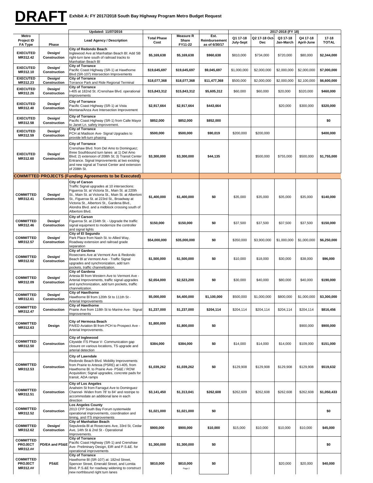#### **Exhibit A: FY 2017/2018 South Bay Highway Program Metro Budget Request DRAFT**

|                                                |                         | Updated: 11/07/2016                                                                                                                                                                                                                                                                                                                                 |                            |                                      |                                        | 2017-2018 (FY 18)     |                     |                       |                        |                           |
|------------------------------------------------|-------------------------|-----------------------------------------------------------------------------------------------------------------------------------------------------------------------------------------------------------------------------------------------------------------------------------------------------------------------------------------------------|----------------------------|--------------------------------------|----------------------------------------|-----------------------|---------------------|-----------------------|------------------------|---------------------------|
| Metro<br>Project ID<br>FA Type                 | Phase                   | <b>Lead Agency / Description</b>                                                                                                                                                                                                                                                                                                                    | <b>Total Phase</b><br>Cost | <b>Measure R</b><br>Share<br>FY11-22 | Est.<br>Reimbursement<br>as of 6/30/17 | Q1 17-18<br>July-Sept | Q2 17-18 Oct<br>Dec | Q3 17-18<br>Jan-March | Q4 17-18<br>April-June | $17 - 18$<br><b>TOTAL</b> |
| <b>EXECUTED</b><br>MR312.42                    | Design/<br>Construction | City of Redondo Beach<br>Inglewood Ave at Manhattan Beach Bl: Add SB<br>right-turn lane south of railroad tracks to<br>Manhattan Beach Bl                                                                                                                                                                                                           | \$5,169,638                | \$5,169,638                          | \$960,638                              | \$810,000             | \$734,000           | \$720,000             | \$80,000               | \$2,344,000               |
| <b>EXECUTED</b><br>MR312.10                    | Design/<br>Construction | <b>City of Torrance</b><br>Pacific Coast Highway (SR-1) at Hawthorne<br>Blvd (SR-107) Intersection Improvements                                                                                                                                                                                                                                     | \$19,645,697               | \$19,645,697                         | \$9,045,697                            | \$1,000,000           | \$2,000,000         | \$2,000,000           | \$2,000,000            | \$7,000,000               |
| <b>EXECUTED</b><br>MR312.23                    | Design/<br>Construction | <b>City of Torrance</b><br>Torrance Park and Ride Regional Terminal                                                                                                                                                                                                                                                                                 | \$18,077,368               | \$18,077,368                         | \$11,477,368                           | \$500,000             | \$2,000,000         | \$2,000,000           | \$2,100,000            | \$6,600,000               |
| <b>EXECUTED</b><br>MR312.26                    | Design/<br>Construction | <b>City of Torrance</b><br>-405 at 182nd St. /Crenshaw Blvd. operational                                                                                                                                                                                                                                                                            | \$15,843,312               | \$15,843,312                         | \$5,605,312                            | \$60,000              | \$60,000            | \$20,000              | \$320,000              | \$460,000                 |
| <b>EXECUTED</b><br>MR312.40                    | Design/<br>Construction | improvements<br><b>City of Torrance</b><br>Pacific Coast Highway (SR-1) at Vista<br>Montana/Anza Ave Intersection Improvement                                                                                                                                                                                                                       | \$2,917,664                | \$2,917,664                          | \$443,664                              |                       |                     | \$20,000              | \$300,000              | \$320,000                 |
| <b>EXECUTED</b><br>MR312.58                    | Design/<br>Construction | <b>City of Torrance</b><br>Pacific Coast Highway (SR-1) from Calle Mayor<br>to Janet Ln. safety improvement.                                                                                                                                                                                                                                        | \$852,000                  | \$852,000                            | \$852,000                              |                       |                     |                       |                        | \$0                       |
| <b>EXECUTED</b><br>MR312.59                    | Design/<br>Construction | <b>City of Torrance</b><br>PCH at Madison Ave- Signal Upgrades to<br>provide left-turn phasing                                                                                                                                                                                                                                                      | \$500,000                  | \$500,000                            | \$90,019                               | \$200,000             | \$200,000           |                       |                        | \$400,000                 |
| <b>EXECUTED</b><br>MR312.60                    | Design/<br>Construction | <b>City of Torrance</b><br>Crenshaw Blvd. from Del Amo to Dominguez;<br>three Southbound turn lanes at 1) Del Amo<br>Blvd; 2) extension of 208th St; 3) Transit Center<br>Entrance. Signal Improvements at two existing<br>and new signal at Transit Center and extension<br>of 208th St.                                                           | \$3,300,000                | \$3,300,000                          | \$44,135                               |                       | \$500,000           | \$755,000             | \$500,000              | \$1.755.000               |
|                                                |                         | <b>COMMITTED PROJECTS (Funding Agreements to be Executed)</b>                                                                                                                                                                                                                                                                                       |                            |                                      |                                        |                       |                     |                       |                        |                           |
| <b>COMMITTED</b><br>MR312.41                   | Design/<br>Construction | <b>City of Carson</b><br>Traffic Signal upgrades at 10 intersections:<br>Figueroa St. at Victoria St., Main St. at 220th<br>St., Main St. at Victoria St., Main St. at Albertoni<br>St., Figueroa St. at 223rd St., Broadway at<br>Victoria St., Albertoni St., Gardena Blvd.,<br>Alondra Blvd. and a midblock crossing south of<br>Albertoni Blvd. | \$1,400,000                | \$1,400,000                          | \$0                                    | \$35,000              | \$35,000            | \$35,000              | \$35,000               | \$140,000                 |
| <b>COMMITTED</b><br>MR312.46                   | Design/<br>Construction | <b>City of Carson</b><br>Figueroa St. at 234th St. - Upgrade the traffic<br>signal equipment to modernize the controller<br>and signal lights                                                                                                                                                                                                       | \$150,000                  | \$150,000                            | \$0                                    | \$37,500              | \$37,500            | \$37,500              | \$37,500               | \$150,000                 |
| <b>COMMITTED</b><br>MR312.57                   | Design/<br>Construction | City of El Segundo<br>Park Place from Nash St. to Allied Way,<br>Roadway extension and railroad grade<br>separation                                                                                                                                                                                                                                 | \$54,000,000               | \$35,000,000                         | \$0                                    | \$350,000             | \$3,900,000         | \$1,000,000           | \$1,000,000            | \$6,250,000               |
| <b>COMMITTED</b><br>MR312.02                   | Design/<br>Construction | City of Gardena<br>Rosecrans Ave at Vermont Ave & Redondo<br>Beach BI at Vermont Ave - Traffic Signal<br>upgrades and synchronization, add turn<br>pockets, traffic channelization.                                                                                                                                                                 | \$1,500,000                | \$1,500,000                          | \$0                                    | \$10,000              | \$18,000            | \$30,000              | \$38,000               | \$96,000                  |
| <b>COMMITTED</b><br>MR312.09                   | Design/<br>Construction | City of Gardena<br>Artesia BI from Western Ave to Vermont Ave -<br>Arterial Improvements, traffic signal upgrades<br>and synchronization, add turn pockets, traffic<br>channelization.                                                                                                                                                              | \$2,654,000                | \$2,523,200                          | \$0                                    | \$30,000              | \$40,000            | \$80,000              | \$40,000               | \$190,000                 |
| <b>COMMITTED</b><br>MR312.61                   | Design/<br>Construction | <b>City of Hawthorne</b><br>Hawthorne BI from 120th St to 111th St -<br>Arterial Improvements                                                                                                                                                                                                                                                       | \$5,000,000                | \$4,400,000                          | \$1,100,000                            | \$500,000             | \$1,000,000         | \$800,000             | \$1,000,000            | \$3,300,000               |
| <b>COMMITTED</b><br>MR312.47                   | Construction            | <b>City of Hawthorne</b><br>Prairie Ave from 118th St to Marine Ave- Signal<br>Improvements                                                                                                                                                                                                                                                         | \$1,237,000                | \$1,237,000                          | \$204,114                              | \$204,114             | \$204,114           | \$204,114             | \$204,114              | \$816,456                 |
| <b>COMMITTED</b><br>MR312.63                   | Design                  | <b>City of Hermosa Beach</b><br>PA/ED Aviation BI from PCH to Prospect Ave -<br>Arterial Improvements.                                                                                                                                                                                                                                              | \$1,800,000                | \$1,800,000                          | \$0                                    |                       |                     |                       | \$900,000              | \$900,000                 |
| <b>COMMITTED</b><br>MR312.50                   | Construction            | City of Inglewood<br>Citywide ITS Phase V- Communication gap<br>closure on various locations, TS upgrade and<br>arterial detection                                                                                                                                                                                                                  | \$384,000                  | \$384,000                            | \$0                                    | \$14,000              | \$14,000            | \$14,000              | \$109,000              | \$151,000                 |
| <b>COMMITTED</b><br>MR312.53                   | Construction            | <b>City of Lawndale</b><br>Redondo Beach Blvd. Mobility Improvements<br>from Prairie to Artesia (PSRE) at I-405, from<br>Hawthorne Bl. to Prairie Ave- PS&E / ROW<br>Acquisition; Signal upgrades, concrete pads for<br>transit, ADA ramps                                                                                                          | \$1,039,262                | \$1,039,262                          | \$0                                    | \$129,908             | \$129,908           | \$129,908             | \$129,908              | \$519,632                 |
| <b>COMMITTED</b><br>MR312.51                   | Construction            | <b>City of Los Angeles</b><br>Anaheim St from Farragut Ave to Dominguez<br>Channel- Widen from 78' to 84' and restripe to<br>accommodate an additional lane in each<br>direction                                                                                                                                                                    | \$3,141,450                | \$1,313,041                          | \$262,608                              | \$262,609             | \$262,608           | \$262,608             | \$262,608              | \$1,050,433               |
| <b>COMMITTED</b><br>MR312.52                   | Construction            | <b>Los Angeles County</b><br>2013 CFP South Bay Forum systemwide<br>operational improvements, coordination and<br>timing, and ITS improvements                                                                                                                                                                                                      | \$1,021,000                | \$1,021,000                          | \$0                                    |                       |                     |                       |                        | \$0                       |
| <b>COMMITTED</b><br>MR312.62                   | Design/<br>Construction | <b>City of Manhattan Beach</b><br>Sepulveda BI at Rosecrans Ave, 33rd St, Cedar<br>Ave, 14th St & 2nd St - Operational<br>Improvements.                                                                                                                                                                                                             | \$900,000                  | \$900,000                            | \$10,000                               | \$15,000              | \$10,000            | \$10,000              | \$10,000               | \$45,000                  |
| <b>COMMITTED</b><br><b>PROJECT</b><br>MR312.## | PD/EA and PS&E          | <b>City of Torrance</b><br>Pacific Coast Highway (SR-1) and Crenshaw<br>Ave- Preliminary Design, EIR and P.S.&E. for<br>operational improvements                                                                                                                                                                                                    | \$1,300,000                | \$1,300,000                          | \$0                                    |                       |                     |                       |                        | \$0                       |
| <b>COMMITTED</b><br><b>PROJECT</b><br>MR312.## | PS&E                    | <b>City of Torrance</b><br>Hawthorne BI (SR-107) at: 182nd Street,<br>Spencer Street, Emerald Street, and Lomita<br>Blvd. P.S.&E for roadway widening to construct<br>new northbound right turn lanes                                                                                                                                               | \$810,000                  | \$810,000<br>Page 2                  | \$0                                    |                       |                     | \$20,000              | \$20,000               | \$40,000                  |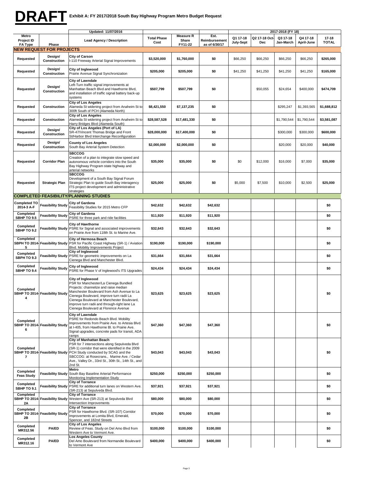## **DRAFT**

|                                                |                                          | Updated: 11/07/2016                                                                                                                                                                                                                                                                                                                 |                            |                           |                       | 2017-2018 (FY 18)     |                      |                       |                        |                       |
|------------------------------------------------|------------------------------------------|-------------------------------------------------------------------------------------------------------------------------------------------------------------------------------------------------------------------------------------------------------------------------------------------------------------------------------------|----------------------------|---------------------------|-----------------------|-----------------------|----------------------|-----------------------|------------------------|-----------------------|
| Metro<br>Project ID                            |                                          | <b>Lead Agency / Description</b>                                                                                                                                                                                                                                                                                                    | <b>Total Phase</b><br>Cost | <b>Measure R</b><br>Share | Est.<br>Reimbursement | Q1 17-18<br>July-Sept | Q2 17-18 Oct-<br>Dec | Q3 17-18<br>Jan-March | Q4 17-18<br>April-June | 17-18<br><b>TOTAL</b> |
| FA Type                                        | Phase<br><b>NEW REQUEST FOR PROJECTS</b> |                                                                                                                                                                                                                                                                                                                                     |                            | FY11-22                   | as of 6/30/17         |                       |                      |                       |                        |                       |
| Requested                                      | Design/<br>Construction                  | City of Carson<br>I-110 Freeway Arterial Signal Improvements                                                                                                                                                                                                                                                                        | \$3,520,000                | \$1,760,000               | \$0                   | \$66,250              | \$66,250             | \$66,250              | \$66,250               | \$265,000             |
| Requested                                      | Design/<br>Construction                  | City of Inglewood<br>Prairie Avenue Signal Synchronization                                                                                                                                                                                                                                                                          | \$205,000                  | \$205,000                 | \$0                   | \$41,250              | \$41,250             | \$41,250              | \$41,250               | \$165,000             |
| Requested                                      | Design/<br>Construction                  | City of Lawndale<br>eft-Turn traffic signal improvements at<br>Manhattan Beach Blvd and Hawthorne Blvd,<br>and installation of traffic signal battery back-up<br>systems                                                                                                                                                            | \$507,799                  | \$507,799                 | \$0                   |                       | \$50,055             | \$24,654              | \$400,000              | \$474,709             |
| Requested                                      | Construction                             | City of Los Angeles<br>Alameda St widening project from Anaheim St to<br>300ft South of PCH (Alameda North)                                                                                                                                                                                                                         | \$8,421,550                | \$7,137,235               | \$0                   |                       |                      | \$295,247             | \$1,393,565            | \$1,688,812           |
| Requested                                      | Construction                             | <b>City of Los Angeles</b><br>Alameda St widening project from Anaheim St to<br>Harry Bridges Blvd (Alameda South)                                                                                                                                                                                                                  | \$28,587,528               | \$17,481,330              | \$0                   |                       |                      | \$1,790,544           | \$1,790,544            | \$3,581,087           |
| Requested                                      | Design/<br>Construction                  | City of Los Angeles (Port of LA)<br>SR-47/Vincent Thomas Bridge and Front<br>St/Harbor Blvd Interchange Reconfiguration                                                                                                                                                                                                             | \$28,000,000               | \$17,400,000              | \$0                   |                       |                      | \$300,000             | \$300,000              | \$600,000             |
| Requested                                      | Design/<br>Construction                  | <b>County of Los Angeles</b><br>South Bay Arterial System Detection                                                                                                                                                                                                                                                                 | \$2,000,000                | \$2,000,000               | \$0                   |                       |                      | \$20,000              | \$20,000               | \$40,000              |
| Requested                                      | <b>Corridor Plan</b>                     | <b>SBCCOG</b><br>Creation of a plan to integrate slow speed and<br>autonomous vehicle corridors into the South<br>Bay Highway Program state highway and<br>arterial networks                                                                                                                                                        | \$35,000                   | \$35,000                  | \$0                   | \$0                   | \$12,000             | \$16,000              | \$7,000                | \$35,000              |
| Requested                                      | <b>Strategic Plan</b>                    | <b>SBCCOG</b><br>Development of a South Bay Signal Forum<br>Strategic Plan to guide South Bay interagency<br>ITS project development and administrative<br>strategies                                                                                                                                                               | \$25,000                   | \$25,000                  | \$0                   | \$5,000               | \$7,500              | \$10,000              | \$2,500                | \$25,000              |
|                                                |                                          | <b>COMPLETED FEASIBILITY/PLANNING STUDIES</b>                                                                                                                                                                                                                                                                                       |                            |                           |                       |                       |                      |                       |                        |                       |
| Completed TO<br>2014-3 A-F                     | <b>Feasibility Study</b>                 | City of Gardena<br>Feasibility Studies for 2015 Metro CFP                                                                                                                                                                                                                                                                           | \$42,632                   | \$42,632                  | \$42,632              |                       |                      |                       |                        | \$0                   |
| Completed                                      | <b>Feasibility Study</b>                 | City of Gardena                                                                                                                                                                                                                                                                                                                     | \$11,920                   | \$11,920                  | \$11,920              |                       |                      |                       |                        | \$0                   |
| <b>SBHP TO 9.5</b><br>Completed<br>SBHP TO 9.2 | Feasibility Study                        | PSRE for three park and ride facilities<br><b>City of Hawthorne</b><br>PSRE for Signal and associated improvements<br>on Prairie Ave from 118th St. to Marine Ave.                                                                                                                                                                  | \$32,643                   | \$32,643                  | \$32,643              |                       |                      |                       |                        | \$0                   |
| Completed<br>5                                 | SBPH TO 2014- Feasibility Study          | City of Hermosa Beach<br>PSR for Pacific Coast Highway (SR-1) / Aviation<br>Blvd. Mobility Improvements Project                                                                                                                                                                                                                     | \$190,000                  | \$190,000                 | \$190,000             |                       |                      |                       |                        | \$0                   |
| Completed<br><b>SBPH TO 9.3</b>                |                                          | City of Inglewood<br>Feasibility Study PSRE for geometric improvements on La<br>Cienega Blvd and Manchester Blvd.                                                                                                                                                                                                                   | \$31,664                   | \$31,664                  | \$31,664              |                       |                      |                       |                        | \$0                   |
| Completed<br>SBHP TO 9.4                       | Feasibility Study                        | City of Inglewood<br>PSRE for Phase V of Inglewood's ITS Upgrades                                                                                                                                                                                                                                                                   | \$24,434                   | \$24,434                  | \$24,434              |                       |                      |                       |                        | \$0                   |
| Completed<br>4                                 | SBHP TO 2014- Feasibility Study          | City of Inglewood<br>PSR for Manchester/La Cienega Bundled<br>Projects: channelize and raise median<br>Manchester Boulevard from Ash Avenue to La<br>Cienega Boulevard, improve turn radii La<br>Cienega Boulevard at Manchester Boulevard,<br>improve turn radii and through-right lane La<br>Cienega Boulevard at Florence Avenue | \$23,625                   | \$23,625                  | \$23,625              |                       |                      |                       |                        | \$0                   |
| Completed<br>6                                 | SBHP TO 2014- Feasibility Study          | City of Lawndale<br>PSRE for Redondo Beach Blvd. Mobility<br>Improvements from Prairie Ave. to Artesia Blvd.<br>at I-405, from Hawthorne Bl. to Prairie Ave.<br>Signal upgrades, concrete pads for transit, ADA<br>ramps                                                                                                            | \$47,360                   | \$47,360                  | \$47,360              |                       |                      |                       |                        | \$0                   |
| Completed<br>7                                 | SBHP TO 2014- Feasibility Study          | City of Manhattan Beach<br>PSR for 7 intersections along Sepulveda Blvd<br>(SR-1) corridor that were identified in the 2009<br>PCH Study conducted by SCAG and the<br>SBCCOG: at Rosecrans., Marine Ave. / Cedar<br>Ave., Valley Dr., 33rd St., 30th St., 14th St., and<br>2nd St.                                                  | \$43,043                   | \$43,043                  | \$43,043              |                       |                      |                       |                        | \$0                   |
| Completed<br><b>Feas Study</b>                 | <b>Feasibility Study</b>                 | Metro<br>South Bay Baseline Arterial Performance<br>Monitoring Implementation Study                                                                                                                                                                                                                                                 | \$250,000                  | \$250,000                 | \$250,000             |                       |                      |                       |                        | \$0                   |
| Completed<br>SBHP TO 9.1                       |                                          | <b>City of Torrance</b><br>Feasibility Study PSRE for additional turn lanes on Western Ave.<br>(SR-213) at Sepulveda Blvd.                                                                                                                                                                                                          | \$37,921                   | \$37,921                  | \$37,921              |                       |                      |                       |                        | \$0                   |
| Completed<br>2A                                |                                          | <b>City of Torrance</b><br>SBHP TO 2014- Feasibility Study Western Ave (SR-213) at Sepulveda Blvd<br>Intersection Improvements                                                                                                                                                                                                      | \$80,000                   | \$80,000                  | \$80,000              |                       |                      |                       |                        | \$0                   |
| Completed<br>2Β                                | SBHP TO 2014- Feasibility Study          | City of Torrance<br>PSR for Hawthorne Blvd. (SR-107) Corridor<br>Improvements at Lomita Blvd, Emerald,<br>Spencer, and 182nd Streets                                                                                                                                                                                                | \$70,000                   | \$70,000                  | \$70,000              |                       |                      |                       |                        | \$0                   |
| Completed<br>MR312.56                          | <b>PA/ED</b>                             | <b>City of Los Angeles</b><br>Review of Feas. Study on Del Amo Blvd from<br>Western Ave to Vermont Ave.                                                                                                                                                                                                                             | \$100,000                  | \$100,000                 | \$100,000             |                       |                      |                       |                        | \$0                   |
| Completed<br>MR312.16                          | <b>PA/ED</b>                             | <b>Los Angeles County</b><br>Del Amo Boulevard from Normandie Boulevard<br>to Vermont Ave                                                                                                                                                                                                                                           | \$400,000                  | \$400,000                 | \$400,000             |                       |                      |                       |                        | \$0                   |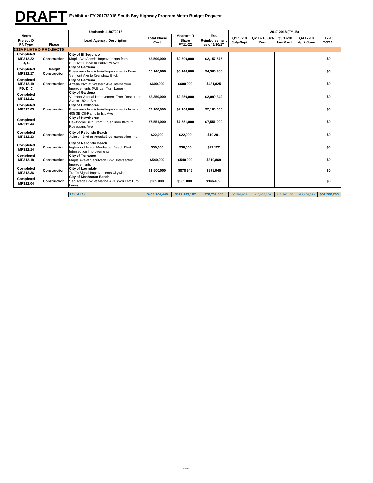# **DRAFT**

| Exhibit A: FY 2017/2018 South Bay Highway Program Metro Budget Request |  |
|------------------------------------------------------------------------|--|
|                                                                        |  |

|                                                     |                           | Updated: 11/07/2016                                                                                    |                            |                                      |                                        |                       |                      | 2017-2018 (FY 18)     |                        |                           |
|-----------------------------------------------------|---------------------------|--------------------------------------------------------------------------------------------------------|----------------------------|--------------------------------------|----------------------------------------|-----------------------|----------------------|-----------------------|------------------------|---------------------------|
| <b>Metro</b><br><b>Project ID</b><br><b>FA Type</b> | Phase                     | <b>Lead Agency / Description</b>                                                                       | <b>Total Phase</b><br>Cost | <b>Measure R</b><br>Share<br>FY11-22 | Est.<br>Reimbursement<br>as of 6/30/17 | Q1 17-18<br>July-Sept | Q2 17-18 Oct-<br>Dec | Q3 17-18<br>Jan-March | Q4 17-18<br>April-June | $17 - 18$<br><b>TOTAL</b> |
|                                                     | <b>COMPLETED PROJECTS</b> |                                                                                                        |                            |                                      |                                        |                       |                      |                       |                        |                           |
| Completed<br>MR312.22<br>D.C                        | Construction              | City of El Segundo<br>Maple Ave Arterial Improvements from<br>Sepulveda Blvd to Parkview Ave           | \$2,500,000                | \$2,500,000                          | \$2,157,575                            |                       |                      |                       |                        | \$0                       |
| Completed<br>MR312.17                               | Design/<br>Construction   | <b>City of Gardena</b><br>Rosecrans Ave Arterial Improvements From<br>Vermont Ave to Crenshaw Blvd.    | \$5,140,000                | \$5,140,000                          | \$4,966,988                            |                       |                      |                       |                        | \$0                       |
| Completed<br>MR312.19<br><b>PD, D, C</b>            | Construction              | City of Gardena<br>Artesia Blvd at Western Ave Intersection<br>Improvements (WB Left Turn Lanes)       | \$600.000                  | \$600,000                            | \$431,825                              |                       |                      |                       |                        | \$0                       |
| Completed<br>MR312.21                               |                           | <b>City of Gardena</b><br>Vermont Arterial Improvement From Rosecrans<br>Ave to 182nd Street           | \$2,350,000                | \$2,350,000                          | \$2,090,342                            |                       |                      |                       |                        | \$0                       |
| Completed<br>MR312.03                               | Construction              | <b>City of Hawthorne</b><br>Rosecrans Ave Arterial Improvements from I-<br>405 SB Off-Ramp to Isis Ave | \$2.100.000                | \$2.100.000                          | \$2,100,000                            |                       |                      |                       |                        | \$0                       |
| Completed<br>MR312.44                               |                           | <b>City of Hawthorne</b><br>Hawthorne Blvd From El Segundo Blvd. to<br>Rosecrans Ave                   | \$7,551,000                | \$7,551,000                          | \$7,551,000                            |                       |                      |                       |                        | \$0                       |
| Completed<br>MR312.13                               | Construction              | City of Redondo Beach<br>Aviation Blvd at Artesia Blvd Intersection Imp.                               | \$22,000                   | \$22,000                             | \$19,281                               |                       |                      |                       |                        | \$0                       |
| Completed<br>MR312.14                               | Construction              | <b>City of Redondo Beach</b><br>Inglewood Ave at Manhattan Beach Blvd<br>Intersection Improvements     | \$30,000                   | \$30,000                             | \$27,122                               |                       |                      |                       |                        | \$0                       |
| Completed<br>MR312.18                               | Construction              | <b>City of Torrance</b><br>Maple Ave at Sepulveda Blvd. Intersection<br>Improvements                   | \$540,000                  | \$540,000                            | \$319,869                              |                       |                      |                       |                        | \$0                       |
| Completed<br>MR312.36                               | Construction              | City of Lawndale<br>Traffic Signal Improvements Citywide                                               | \$1,500,000                | \$878,945                            | \$878,945                              |                       |                      |                       |                        | \$0                       |
| Completed<br>MR312.04                               | Construction              | <b>City of Manhattan Beach</b><br>Sepulveda Blvd at Marine Ave (WB Left Turn<br>Lane)                  | \$365,000                  | \$365,000                            | \$346,469                              |                       |                      |                       |                        | \$0                       |
|                                                     |                           | <b>TOTALS</b>                                                                                          | \$439.104.446              | \$317.183.187                        | \$78,792,356                           | \$8,591.962           | \$15,668,266         | \$18,960,155          | \$21,068,319           | \$64,288,703              |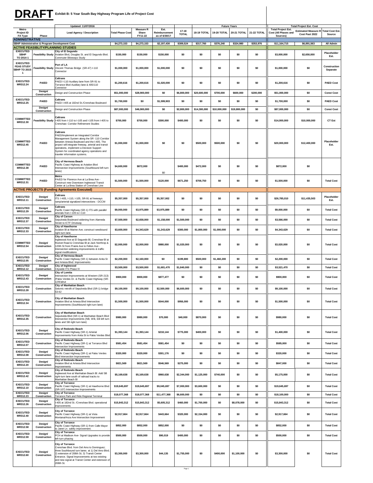|                                                                    |                                                | DRAFT Exhibit B: 5 Year South Bay Highway Program Life of Project Cost                                                                                                                                                                                                                                                                        |                         |                                      |                                        |                       |              |              |                     |             |                                                               |                                                             |                          |
|--------------------------------------------------------------------|------------------------------------------------|-----------------------------------------------------------------------------------------------------------------------------------------------------------------------------------------------------------------------------------------------------------------------------------------------------------------------------------------------|-------------------------|--------------------------------------|----------------------------------------|-----------------------|--------------|--------------|---------------------|-------------|---------------------------------------------------------------|-------------------------------------------------------------|--------------------------|
|                                                                    |                                                | Updated: 11/07/2016                                                                                                                                                                                                                                                                                                                           |                         |                                      |                                        |                       |              |              | <b>Future Years</b> |             |                                                               | <b>Total Project Est. Cost</b>                              |                          |
| Metro<br>Project ID<br><b>FA Type</b>                              | Phase                                          | <b>Lead Agency / Description</b>                                                                                                                                                                                                                                                                                                              | <b>Total Phase Cost</b> | <b>Measure R</b><br>Share<br>FY11-22 | Est.<br>Reimbursement<br>as of 6/30/17 | 17-18<br><b>TOTAL</b> | 18-19 TOTAL  | 19-20 TOTAL  | 20-21 TOTAL         | 21-22 TOTAL | <b>Total Project Est.</b><br>Cost (All Phases and<br>Sources) | <b>Estimated Measure R Total Cost Est</b><br>Cost Past 2022 | Source                   |
| <b>ADMINISTRATIVE</b>                                              | SBHP Administrative & Program Development Cost |                                                                                                                                                                                                                                                                                                                                               | \$4,273,153             | \$4,273,153                          | \$2,197,430                            | \$309,524             | \$317,760    | \$376,240    | \$324,980           | \$353,976   | \$11,164,715                                                  | \$6,891,563                                                 | All Admin                |
| <b>EXECUTED</b>                                                    | <b>ACTIVE FEASIBLITY/PLANNING STUDIES</b>      | City of El Segundo                                                                                                                                                                                                                                                                                                                            |                         |                                      |                                        |                       |              |              |                     |             |                                                               |                                                             | Placeholder              |
| <b>SBHP</b><br>TO 2014-1                                           | <b>Feasibility Study</b>                       | Aviation Blvd, Douglas St. and El Segundo Blvd.<br>Commuter Bikeways Study                                                                                                                                                                                                                                                                    | \$150,000               | \$150,000                            | \$150,000                              | \$0                   | \$0          | \$0          | \$0                 | \$0         | \$3,000,000                                                   | \$2,650,000                                                 | Est.                     |
| <b>EXECUTED</b><br><b>FEAS STUDY</b><br><b>SBHP TO 2015-</b><br>-1 |                                                | Port of LA<br>Feasibility Study Vincent Thomas Bridge (SR-47) I-110<br>Connector                                                                                                                                                                                                                                                              | \$1,000,000             | \$1,000,000                          | \$1,000,000                            | \$0                   | \$0          | \$0          | \$0                 | \$0         | \$1,000,000                                                   | \$0                                                         | Construction<br>Separate |
| <b>EXECUTED</b><br>MR312.24                                        | PA/ED                                          | Caltrans<br>PAED I-110 Auxiliary lane from SR-91 to<br>Torrance Blvd Auxiliary lane & 405/110<br>Connector                                                                                                                                                                                                                                    | \$1,200,616             | \$1,200,616                          | \$1,020,000                            | \$0                   | \$0          | \$0          | \$0                 | \$0         | \$1,200,616                                                   | \$0                                                         | <b>PAED Cost</b>         |
|                                                                    | <b>Design/</b><br>Construction                 | Design and Construction Phase                                                                                                                                                                                                                                                                                                                 | \$51,000,000            | \$28,900,000                         | \$0                                    | \$6,800,000           | \$20,600,000 | \$700,000    | \$600,000           | \$200,000   | \$51,000,000                                                  | \$0                                                         | <b>Const Cost</b>        |
| <b>EXECUTED</b><br>MR312.25                                        | PA/ED                                          | Caltrans<br>PAED I-405 at 182nd St./Crenshaw Boulevard                                                                                                                                                                                                                                                                                        | \$1,700,000             | \$O                                  | \$1,599,903                            | \$0                   | \$0          | \$0          | \$0                 | \$0         | \$1,700,000                                                   | \$0                                                         | <b>PAED Cost</b>         |
|                                                                    | Design/<br>Construction                        | Design and Construction Phase                                                                                                                                                                                                                                                                                                                 | \$87,000,000            | \$46,900,000                         | \$0                                    | \$2,800,000           | \$14,300,000 | \$10,000,000 | \$19,800,000        | \$0         | \$87,000,000                                                  | \$0                                                         | <b>Const Cost</b>        |
| COMMITTED<br>MR312.30                                              | <b>Feasibility Study</b>                       | Caltrans<br>I-405 from I-110 to I-105 and I-105 from I-405 to<br>Crenshaw: Corridor Refinement Studies                                                                                                                                                                                                                                        | \$700,000               | \$700,000                            | \$300,000                              | \$400,000             | \$0          | \$0          | \$0                 | \$0         | \$14,000,000                                                  | \$10,000,000                                                | CT Est                   |
| COMMITTED<br>MR312.45                                              | PA/ED                                          | <b>Caltrans</b><br>PAED/Implement an Integrated Corridor<br>Management System along the SR -110 Corridor<br>between Artesia Boulevard and the I-405. The<br>project will integrate freeway, arterial and transit<br>operations, implement a Decision Support<br>System for coordinated agency operations and<br>traveler information systems. | \$1,000,000             | \$1,000,000                          | \$0                                    | \$0                   | \$500,000    | \$500,000    | \$0                 | \$0         | \$20,000,000                                                  | \$12,400,000                                                | Placeholder<br>Est.      |
| COMMITTED<br>MR312.38                                              | PA/ED                                          | City of Hermosa Beach<br>Pacific Coast Highway at Aviation Blvd<br>Intersection Improvements (Southbound left turn<br>lanes)                                                                                                                                                                                                                  | \$4,600,000             | \$872,000                            | \$0                                    | \$400,000             | \$472,000    | \$0          | \$0                 | \$0         | \$872,000                                                     | \$0                                                         |                          |
| COMMITTED<br>MR312.31                                              | <b>PA/ED</b>                                   | Metro<br>PA/ED for Florence Ave at La Brea Ave -<br>Construct new Downtown Inglewood Transit<br>Center at La Brea Station of Crenshaw Line                                                                                                                                                                                                    | \$1,500,000             | \$1,500,000                          | \$120,000                              | \$671,250             | \$708,750    | \$0          | \$0                 | \$0         | \$1,500,000                                                   | \$0                                                         | <b>Total Cost</b>        |
| <b>EXECUTED</b><br>MR312.11                                        | Design/<br>Construction                        | <b>ACTIVE PROJECTS (Funding Agreements Executed)</b><br>Caltrans<br>ITS: I-405, I-110, I-105, SR-91 at freeways<br>ramp/arterial signalized intersections - DCCM                                                                                                                                                                              | \$5,357,000             | \$5,357,000                          | \$5,357,002                            | \$0                   | \$0          | \$0          | \$0                 | \$0         | \$26,785,010                                                  | \$11,435,503                                                | Placeholder<br>Est.      |
| <b>EXECUTED</b><br>MR312.29                                        | Design/<br>Construction                        | Caltrans<br>Pacific Coast Highway (SR-1) ITS with parallel<br>arterials from I-105 to I-110                                                                                                                                                                                                                                                   | \$9,000,000             | \$3,975,889                          | \$3,975,889                            | \$0                   | \$0          | \$0          | \$0                 | \$0         | \$9,000,000                                                   | \$0                                                         | <b>Total Cost</b>        |
| <b>EXECUTED</b><br>MR312.37                                        | Design/<br>Construction                        | City of Carson<br>Sepulveda Boulevard widening from Alameda<br><b>Street to ICTF Driveway</b>                                                                                                                                                                                                                                                 | \$7,500,000             | \$2,658,000                          | \$1,158,000                            | \$1,500,000           | \$0          | \$0          | \$0                 | \$0         | \$3,566,000                                                   | \$0                                                         | <b>Total Cost</b>        |
| <b>EXECUTED</b><br>MR312.33                                        | Design/<br>Construction                        | City of Hawthorne<br>Aviation BI at Marine Ave; construct westbound<br>ight-turn lane.                                                                                                                                                                                                                                                        | \$3,600,000             | \$4,343,629                          | \$1,243,629                            | \$300,000             | \$1,800,000  | \$1,000,000  | \$0                 | \$0         | \$4,343,629                                                   | \$0                                                         | <b>Total Cost</b>        |
| COMMITTED<br>MR312.54                                              | Design/<br>Construction                        | City of Hawthorne<br>Inglewood Ave at El Segundo Bl, Crenshaw Bl at<br>Rocket Road & Crenshaw BI at Jack Northrop &<br>120th St from Prairie Ave to Felton Ave -<br>Intersection widening improvements & traffic<br>signal modifications                                                                                                      | \$2,000,000             | \$2,000,000                          | \$980,000                              | \$1,020,000           | \$0          | \$0          | \$0                 | \$0         | \$3,020,000                                                   | \$0                                                         | <b>Total Cost</b>        |
| <b>EXECUTED</b><br>MR312.05                                        | Design/<br>Construction                        | City of Hermosa Beach<br>Pacific Coast Highway (SR-1) between Anita St<br>and Artesia Blvd: Improvements                                                                                                                                                                                                                                      | \$2,200,000             | \$2,160,000                          | \$0                                    | \$199,800             | \$500,000    | \$1,460,200  | \$0                 | \$0         | \$2,200,000                                                   | \$0                                                         | <b>Total Cost</b>        |
| <b>EXECUTED</b><br>MR312.12                                        | Design/<br>Construction                        | City of Inglewood<br>Citywide ITS Phase IV                                                                                                                                                                                                                                                                                                    | \$3,500,000             | \$3,500,000                          | \$1,681,470                            | \$1,840,000           | \$0          | \$0          | \$0                 | \$0         | \$3,521,470                                                   | \$0                                                         | <b>Total Cost</b>        |
| <b>EXECUTED</b><br>MR312.43                                        | Design/<br>Construction                        | City of Lomita<br>Intersection Improvements at Western (SR-213)<br>/Palos Verdes Dr. & Pacific Coast Highway (SR-                                                                                                                                                                                                                             | \$900,000               | \$900,000                            | \$877,477                              | SO.                   | SO.          | \$0          | \$0                 | \$0         | \$900,000                                                     | \$0                                                         | <b>Total Cost</b>        |
| <b>EXECUTED</b><br>MR312.28                                        | Construction                                   | 1)/Walnut<br>City of Manhattan Beach<br>Seismic retrofit of Sepulveda Blvd (SR-1) bridge                                                                                                                                                                                                                                                      | \$9,100,000             | \$9,100,000                          | \$2,500,000                            | \$6,600,000           | \$0          | \$0          | \$0                 | \$0         | \$9,100,000                                                   | \$0                                                         | <b>Total Cost</b>        |
| <b>EXECUTED</b><br>MR312.34                                        | Construction                                   | 53-62<br>City of Manhattan Beach<br>Aviation Blvd at Artesia Blvd Intersection<br>Improvements (Southbound right turn lane)                                                                                                                                                                                                                   | \$1,500,000             | \$1,500,000                          | \$544,000                              | \$956,000             | \$0          | \$0          | \$0                 | \$0         | \$1,500,000                                                   | \$0                                                         | <b>Total Cost</b>        |
| <b>EXECUTED</b><br>MR312.35                                        | Construction                                   | City of Manhattan Beach<br>Sepulveda Blvd (SR-1) at Manhattan Beach Blvd<br>Intersection Improvements (NB, WB, EB left turn<br>lanes and SB right turn lane)                                                                                                                                                                                  | \$980,000               | \$980,000                            | \$70,000                               | \$40,000              | \$870,000    | \$0          | \$0                 | \$0         | \$980,000                                                     | \$0                                                         | <b>Total Cost</b>        |
| <b>EXECUTED</b><br>MR312.06                                        | Design/<br>Construction                        | City of Redondo Beach<br>Pacific Coast Highway (SR-1) Arterial<br>Improvements from Anita St to Palos Verdes Blvd                                                                                                                                                                                                                             | \$1,393,144             | \$1,393,144                          | \$218,144                              | \$775,000             | \$400,000    | \$0          | \$0                 | \$0         | \$1,400,000                                                   | \$0                                                         | <b>Total Cost</b>        |
| <b>EXECUTED</b><br>MR312.07                                        | Construction                                   | City of Redondo Beach<br>Pacific Coast Highway (SR-1) at Torrance Blvd<br>Intersection Improvements                                                                                                                                                                                                                                           | \$581,454               | \$581,454                            | \$581,454                              | \$0                   | \$0          | \$0          | \$0                 | \$0         | \$585,000                                                     | \$0                                                         | <b>Total Cost</b>        |
| <b>EXECUTED</b><br>MR312.08                                        | Design/<br>Construction                        | City of Redondo Beach<br>Pacific Coast Highway (SR-1) at Palos Verdes<br><b>Blvd Intersection Improvements</b>                                                                                                                                                                                                                                | \$320,000               | \$320,000                            | \$301,176                              | \$0                   | \$0          | \$0          | \$0                 | \$0         | \$320,000                                                     | \$0                                                         | <b>Total Cost</b>        |
| <b>EXECUTED</b><br>MR312.20                                        | Design/<br>Construction                        | City of Redondo Beach<br>Aviation Blvd at Artesia Blvd Intersection<br>Improvements                                                                                                                                                                                                                                                           | \$821,569               | \$821,569                            | \$546,569                              | \$275,000             | \$0          | \$0          | \$0                 | \$0         | \$847,000                                                     | \$0                                                         | <b>Total Cost</b>        |
| <b>EXECUTED</b><br>MR312.42                                        | Design/<br>Construction                        | City of Redondo Beach<br>Inglewood Ave at Manhattan Beach BI: Add SB<br>right-turn lane south of railroad tracks to<br>Manhattan Beach Bl                                                                                                                                                                                                     | \$5,169,638             | \$5,169,638                          | \$960,638                              | \$2,344,000           | \$1,125,000  | \$740,000    | \$0                 | \$0         | \$5,175,000                                                   | \$0                                                         | <b>Total Cost</b>        |
| <b>EXECUTED</b><br>MR312.10                                        | Design/<br>Construction                        | City of Torrance<br>Pacific Coast Highway (SR-1) at Hawthorne Blvd<br>(SR-107) Intersection Improvements                                                                                                                                                                                                                                      | \$19,645,697            | \$19,645,697                         | \$9,045,697                            | \$7,000,000           | \$3,600,000  | \$0          | \$0                 | \$0         | \$19,645,697                                                  | \$0                                                         | <b>Total Cost</b>        |
| <b>EXECUTED</b><br>MR312.23                                        | Design/<br>Construction                        | <b>City of Torrance</b><br>Torrance Park and Ride Regional Terminal                                                                                                                                                                                                                                                                           | \$18,077,368            | \$18,077,368                         | \$11,477,368                           | \$6,600,000           | \$0          | \$0          | \$0                 | \$0         | \$18,100,000                                                  | \$0                                                         | <b>Total Cost</b>        |
| <b>EXECUTED</b><br>MR312.26                                        | Design/<br>Construction                        | City of Torrance<br>-405 at 182nd St. /Crenshaw Blvd. operational<br>improvements                                                                                                                                                                                                                                                             | \$15,843,312            | \$15,843,312                         | \$5,605,312                            | \$460,000             | \$1,700,000  | \$0          | \$8,078,000         | \$0         | \$15,843,312                                                  | \$0                                                         | <b>Total Cost</b>        |
| <b>EXECUTED</b><br>MR312.40                                        | Design/<br>Construction                        | <b>City of Torrance</b><br>Pacific Coast Highway (SR-1) at Vista<br>Montana/Anza Ave Intersection Improvement                                                                                                                                                                                                                                 | \$2,917,664             | \$2,917,664                          | \$443,664                              | \$320,000             | \$2,154,000  | \$0          | \$0                 | \$0         | \$2,917,664                                                   | \$0                                                         | <b>Total Cost</b>        |
| <b>EXECUTED</b><br>MR312.58                                        | Design/<br>Construction                        | <b>City of Torrance</b><br>Pacific Coast Highway (SR-1) from Calle Mayor<br>o Janet Ln. safety improvement.                                                                                                                                                                                                                                   | \$852,000               | \$852,000                            | \$852,000                              | \$0                   | \$0          | \$0          | \$0                 | \$0         | \$852,000                                                     | \$0                                                         | <b>Total Cost</b>        |
| <b>EXECUTED</b><br>MR312.59                                        | Design/<br>Construction                        | <b>City of Torrance</b><br>PCH at Madison Ave- Signal Upgrades to provide<br>left-turn phasing                                                                                                                                                                                                                                                | \$500,000               | \$500,000                            | \$90,019                               | \$400,000             | \$0          | \$0          | \$0                 | \$0         | \$500,000                                                     | \$0                                                         | <b>Total Cost</b>        |
| <b>EXECUTED</b><br>MR312.60                                        | Design/<br>Construction                        | <b>City of Torrance</b><br>Crenshaw Blvd. from Del Amo to Dominguez;<br>three Southbound turn lanes at 1) Del Amo Blvd;<br>2) extension of 208th St; 3) Transit Center<br>Entrance. Signal Improvements at two existing<br>and new signal at Transit Center and extension of<br>208th St.                                                     | \$3,300,000             | \$3,300,000                          | \$44,135                               | \$1,755,000           | \$0          | \$400,000    | \$1,100,000         | \$0         | \$3,300,000                                                   | \$0                                                         | <b>Total Cost</b>        |

Page 1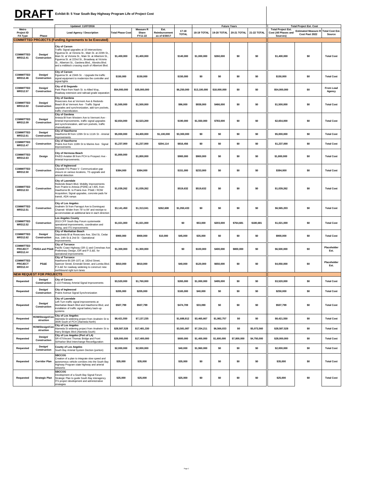### **Exhibit B: 5 Year South Bay Highway Program Life of Project Cost DRAFT**

| Metro                                          |                                    | Updated: 11/07/2016                                                                                                                                                                                                                                                                                                                      |                         | <b>Measure R</b> | Est.                           |                       |              |                    | <b>Future Years</b> |             | <b>Total Project Est.</b>        | <b>Total Project Est. Cost</b>                               |                     |
|------------------------------------------------|------------------------------------|------------------------------------------------------------------------------------------------------------------------------------------------------------------------------------------------------------------------------------------------------------------------------------------------------------------------------------------|-------------------------|------------------|--------------------------------|-----------------------|--------------|--------------------|---------------------|-------------|----------------------------------|--------------------------------------------------------------|---------------------|
| <b>Project ID</b><br>FA Type                   | Phase                              | Lead Agency / Description                                                                                                                                                                                                                                                                                                                | <b>Total Phase Cost</b> | Share<br>FY11-22 | Reimbursement<br>as of 6/30/17 | 17-18<br><b>TOTAL</b> | 18-19 TOTAL  | <b>19-20 TOTAL</b> | 20-21 TOTAL         | 21-22 TOTAL | Cost (All Phases and<br>Sources) | <b>Estimated Measure R Total Cost Est.</b><br>Cost Past 2022 | Source              |
|                                                |                                    | <b>COMMITTED PROJECTS (Funding Agreements to be Executed)</b>                                                                                                                                                                                                                                                                            |                         |                  |                                |                       |              |                    |                     |             |                                  |                                                              |                     |
| <b>COMMITTED</b><br>MR312.41                   | Design/<br>Construction            | City of Carson<br>Traffic Signal upgrades at 10 intersections:<br>Figueroa St. at Victoria St., Main St. at 220th St.<br>Main St. at Victoria St., Main St. at Albertoni St.,<br>Figueroa St. at 223rd St., Broadway at Victoria<br>St., Albertoni St., Gardena Blvd., Alondra Blvd.<br>and a midblock crossing south of Albertoni Blvd. | \$1,400,000             | \$1,400,000      |                                | \$140,000             | \$1,000,000  | \$260,000          | \$0                 | \$0         | \$1,400,000                      | \$0                                                          | <b>Total Cost</b>   |
| <b>COMMITTED</b><br>MR312.46                   | Design/<br>Construction            | <b>City of Carson</b><br>igueroa St. at 234th St. - Upgrade the traffic<br>signal equipment to modernize the controller and<br>signal lights                                                                                                                                                                                             | \$150,000               | \$150,000        |                                | \$150,000             | \$0          | \$0                | \$0                 | \$0         | \$150,000                        | \$0                                                          | <b>Total Cost</b>   |
| <b>COMMITTED</b><br>MR312.57                   | Design/<br>Construction            | City of El Segundo<br>Park Place from Nash St. to Allied Way,<br>Roadway extension and railroad grade separation                                                                                                                                                                                                                         | \$54,000,000            | \$35,000,000     |                                | \$6,250,000           | \$13,100,000 | \$18,000,000       | \$0                 | \$0         | \$54,000,000                     | \$0                                                          | From Lead<br>Agency |
| <b>COMMITTED</b><br>MR312.02                   | Design/<br>Construction            | <b>City of Gardena</b><br>Rosecrans Ave at Vermont Ave & Redondo<br>Beach BI at Vermont Ave - Traffic Signal<br>upgrades and synchronization, add turn pockets,<br>traffic channelization.                                                                                                                                               | \$1,500,000             | \$1,500,000      |                                | \$96,000              | \$938,000    | \$466,000          | \$0                 | \$0         | \$1,500,000                      | \$0                                                          | <b>Total Cost</b>   |
| <b>COMMITTED</b><br>MR312.09                   | Design/<br>Construction            | City of Gardena<br>Artesia BI from Western Ave to Vermont Ave -<br>Arterial Improvements, traffic signal upgrades<br>and synchronization, add turn pockets, traffic<br>channelization.<br><b>City of Hawthorne</b>                                                                                                                       | \$2,654,000             | \$2,523,200      |                                | \$190,000             | \$1,550,000  | \$783,000          | \$0                 | \$0         | \$2,654,000                      | \$0                                                          | <b>Total Cost</b>   |
| <b>COMMITTED</b><br>MR312.61                   | Design/<br>Construction            | Hawthorne BI from 120th St to 111th St - Arterial<br>Improvements                                                                                                                                                                                                                                                                        | \$5,000,000             | \$4,400,000      | \$1,100,000                    | \$3,300,000           | \$0          | \$0                | \$0                 | \$0         | \$5,000,000                      | \$0                                                          | <b>Total Cost</b>   |
| <b>COMMITTED</b><br>MR312.47                   | Construction                       | City of Hawthorne<br>Prairie Ave from 118th St to Marine Ave- Signal<br>Improvements                                                                                                                                                                                                                                                     | \$1,237,000             | \$1,237,000      | \$204,114                      | \$816,456             | \$0          | \$0                | \$0                 | \$0         | \$1,237,000                      | \$0                                                          | <b>Total Cost</b>   |
| <b>COMMITTED</b><br>MR312.63                   | Design                             | City of Hermosa Beach<br>PA/ED Aviation BI from PCH to Prospect Ave -<br>Arterial Improvements.                                                                                                                                                                                                                                          | \$1,800,000             | \$1,800,000      |                                | \$900,000             | \$900,000    | \$0                | \$0                 | \$0         | \$1,800,000                      | \$0                                                          | <b>Total Cost</b>   |
| <b>COMMITTED</b><br>MR312.50                   | Construction                       | City of Inglewood<br>Citywide ITS Phase V- Communication gap<br>closure on various locations, TS upgrade and<br>arterial detection                                                                                                                                                                                                       | \$384,000               | \$384,000        |                                | \$151,000             | \$233,000    | \$0                | \$0                 | \$0         | \$384,000                        | \$0                                                          | <b>Total Cost</b>   |
| <b>COMMITTED</b><br>MR312.53                   | Construction                       | <b>City of Lawndale</b><br>Redondo Beach Blvd. Mobility Improvements<br>from Prairie to Artesia (PSRE) at I-405, from<br>Hawthorne Bl. to Prairie Ave- PS&E / ROW<br>Acquisition; Signal upgrades, concrete pads for<br>transit, ADA ramps                                                                                               | \$1,039,262             | \$1,039,262      |                                | \$519,632             | \$519,632    | \$0                | \$0                 | \$0         | \$1,039,262                      | \$0                                                          | <b>Total Cost</b>   |
| <b>COMMITTED</b><br>MR312.51                   | Construction                       | <b>City of Los Angeles</b><br>Anaheim St from Farragut Ave to Dominguez<br>Channel- Widen from 78' to 84' and restripe to<br>accommodate an additional lane in each direction                                                                                                                                                            | \$3,141,450             | \$1,313,041      | \$262,608                      | \$1,050,433           | \$0          | \$0                | \$0                 | \$0         | \$6,565,203                      | \$0                                                          | <b>Total Cost</b>   |
| <b>COMMITTED</b><br>MR312.52                   | Construction                       | <b>Los Angeles County</b><br>2013 CFP South Bay Forum systemwide<br>operational improvements, coordination and<br>timing, and ITS improvements                                                                                                                                                                                           | \$1,021,000             | \$1,021,000      |                                | \$0                   | \$53,000     | \$203,000          | \$764,681           | \$180,681   | \$1,021,000                      | \$0                                                          | <b>Total Cost</b>   |
| <b>COMMITTED</b><br>MR312.62                   | Design/<br>Construction            | City of Manhattan Beach<br>Sepulveda Bl at Rosecrans Ave, 33rd St, Cedar<br>Ave, 14th St & 2nd St - Operational<br>Improvements                                                                                                                                                                                                          | \$900,000               | \$900,000        | \$10,000                       | \$45,000              | \$35,000     | \$0                | \$0                 | \$0         | \$900,000                        | \$0                                                          | <b>Total Cost</b>   |
| <b>COMMITTED</b><br><b>PROJECT</b><br>MR312.## | PD/EA and PS&E                     | <b>City of Torrance</b><br>Pacific Coast Highway (SR-1) and Crenshaw Ave<br>Preliminary Design, EIR and P.S.&E. for<br>operational improvements                                                                                                                                                                                          | \$1,300,000             | \$1,300,000      |                                | \$0                   | \$100,000    | \$400,000          | \$800,000           | \$0         | \$6,500,000                      | \$0                                                          | Placeholder<br>Est. |
| <b>COMMITTED</b><br><b>PROJECT</b><br>MR312.## | PS&E                               | <b>City of Torrance</b><br>Hawthorne BI (SR-107) at: 182nd Street,<br>Spencer Street, Emerald Street, and Lomita Blvd.<br>P.S.&E for roadway widening to construct new<br>northbound right turn lanes                                                                                                                                    | \$810,000               | \$810,000        |                                | \$40,000              | \$120,000    | \$650,000          | \$0                 | \$0         | \$4,050,000                      | \$0                                                          | Placeholder<br>Est. |
|                                                | <b>NEW REQUEST FOR PROJECTS</b>    |                                                                                                                                                                                                                                                                                                                                          |                         |                  |                                |                       |              |                    |                     |             |                                  |                                                              |                     |
| Requested                                      | Design/<br>Construction            | City of Carson<br>I-110 Freeway Arterial Signal Improvements                                                                                                                                                                                                                                                                             | \$3,520,000             | \$1,760,000      |                                | \$265,000             | \$1,000,000  | \$495,000          | \$0                 | \$0         | \$3,520,000                      | \$0                                                          | <b>Total Cost</b>   |
| Requested                                      | Design/                            | City of Inglewood<br>rame Avenue Signal Synchronization                                                                                                                                                                                                                                                                                  | \$205,000               | \$205,000        |                                | \$165,000             | \$40,000     | \$0                | \$0                 | \$0         | \$250,000                        | \$0                                                          | <b>Total Cost</b>   |
| Requested                                      | Design/<br>Construction            | <b>City of Lawndale</b><br>Left-Turn traffic signal improvements at<br>Manhattan Beach Blvd and Hawthorne Blvd, and<br>installation of traffic signal battery back-up<br>systems                                                                                                                                                         | \$507,799               | \$507,799        |                                | \$474,709             | \$33,090     | \$0                | \$0                 | \$0         | \$507,799                        | \$0                                                          | <b>Total Cost</b>   |
| Requested                                      | <b>ROW/Design/Cor</b><br>struction | <b>City of Los Angeles</b><br>Alameda St widening project from Anaheim St to<br>300ft South of PCH (Alameda North)                                                                                                                                                                                                                       | \$8,421,550             | \$7,137,235      |                                | \$1,688,812           | \$3,465,667  | \$1,982,757        | \$0                 | \$0         | \$8,421,550                      | \$0                                                          | <b>Total Cost</b>   |
| Requested                                      | ROW/Design/Cor<br>struction        | <b>City of Los Angeles</b><br>Alameda St widening project from Anaheim St to<br>Harry Bridges Blvd (Alameda South)                                                                                                                                                                                                                       | \$28,587,528            | \$17,481,330     |                                | \$3,581,087           | \$7,334,211  | \$6,566,033        | \$0                 | \$5,073,560 | \$28,587,528                     | \$0                                                          | <b>Total Cost</b>   |
| Requested                                      | Design/<br>Construction            | City of Los Angeles (Port of LA)<br>SR-47/Vincent Thomas Bridge and Front<br>St/Harbor Blvd Interchange Reconfiguration                                                                                                                                                                                                                  | \$28,000,000            | \$17,400,000     |                                | \$600,000             | \$1,400,000  | \$1,600,000        | \$7,800,000         | \$4,750,000 | \$28,000,000                     | \$0                                                          | <b>Total Cost</b>   |
| Requested                                      | Design/<br>Construction            | <b>County of Los Angeles</b><br>South Bay Arterial System Dection (portion)                                                                                                                                                                                                                                                              | \$2,000,000             | \$2,000,000      |                                | \$40,000              | \$1,960,000  | \$0                | \$0                 | SO.         | \$2,000,000                      | \$0                                                          | <b>Total Cost</b>   |
| Requested                                      | <b>Corridor Plan</b>               | <b>SBCCOG</b><br>Creation of a plan to integrate slow speed and<br>autonomous vehicle corridors into the South Bay<br>Highway Program state highway and arterial<br>networks                                                                                                                                                             | \$35,000                | \$35,000         |                                | \$35,000              | \$0          | \$0                | \$0                 | \$0         | \$35,000                         | \$0                                                          | <b>Total Cost</b>   |
| Requested                                      | <b>Strategic Plan</b>              | <b>SBCCOG</b><br>Development of a South Bay Signal Forum<br>Strategic Plan to guide South Bay interagency<br>ITS project development and administrative<br>strategies                                                                                                                                                                    | \$25,000                | \$25,000         |                                | \$25,000              | \$0          | \$0                | \$0                 | \$0         | \$25,000                         | \$0                                                          | <b>Total Cost</b>   |